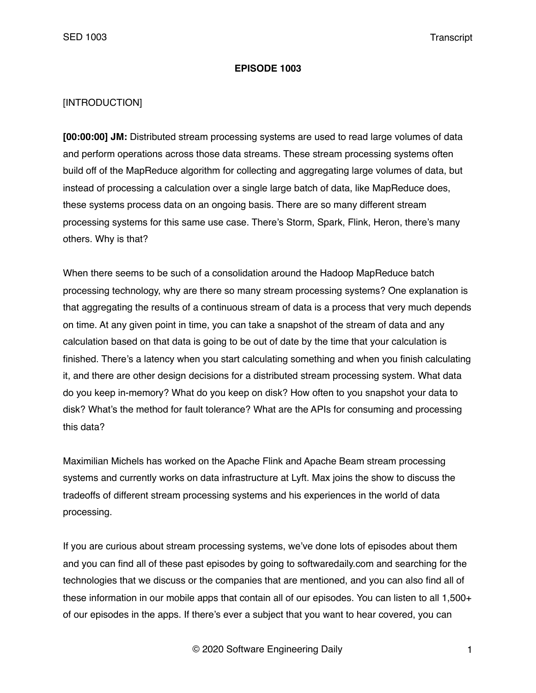#### **EPISODE 1003**

### [INTRODUCTION]

**[00:00:00] JM:** Distributed stream processing systems are used to read large volumes of data and perform operations across those data streams. These stream processing systems often build off of the MapReduce algorithm for collecting and aggregating large volumes of data, but instead of processing a calculation over a single large batch of data, like MapReduce does, these systems process data on an ongoing basis. There are so many different stream processing systems for this same use case. There's Storm, Spark, Flink, Heron, there's many others. Why is that?

When there seems to be such of a consolidation around the Hadoop MapReduce batch processing technology, why are there so many stream processing systems? One explanation is that aggregating the results of a continuous stream of data is a process that very much depends on time. At any given point in time, you can take a snapshot of the stream of data and any calculation based on that data is going to be out of date by the time that your calculation is finished. There's a latency when you start calculating something and when you finish calculating it, and there are other design decisions for a distributed stream processing system. What data do you keep in-memory? What do you keep on disk? How often to you snapshot your data to disk? What's the method for fault tolerance? What are the APIs for consuming and processing this data?

Maximilian Michels has worked on the Apache Flink and Apache Beam stream processing systems and currently works on data infrastructure at Lyft. Max joins the show to discuss the tradeoffs of different stream processing systems and his experiences in the world of data processing.

If you are curious about stream processing systems, we've done lots of episodes about them and you can find all of these past episodes by going to softwaredaily.com and searching for the technologies that we discuss or the companies that are mentioned, and you can also find all of these information in our mobile apps that contain all of our episodes. You can listen to all 1,500+ of our episodes in the apps. If there's ever a subject that you want to hear covered, you can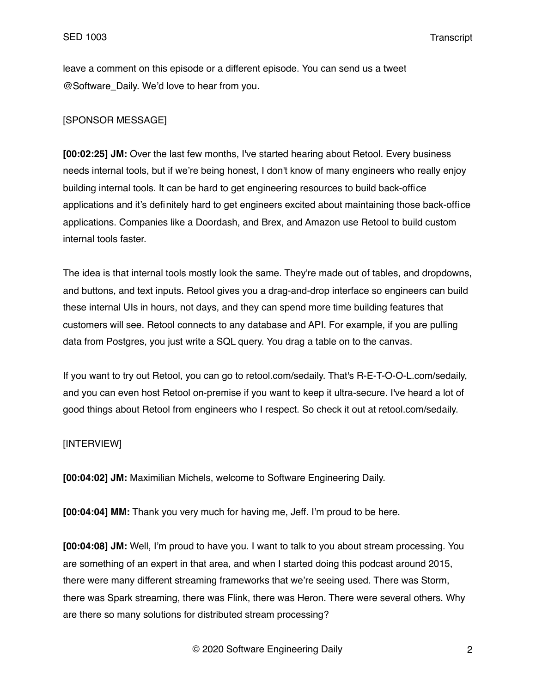leave a comment on this episode or a different episode. You can send us a tweet @Software\_Daily. We'd love to hear from you.

# [SPONSOR MESSAGE]

**[00:02:25] JM:** Over the last few months, I've started hearing about Retool. Every business needs internal tools, but if we're being honest, I don't know of many engineers who really enjoy building internal tools. It can be hard to get engineering resources to build back-office applications and it's definitely hard to get engineers excited about maintaining those back-office applications. Companies like a Doordash, and Brex, and Amazon use Retool to build custom internal tools faster.

The idea is that internal tools mostly look the same. They're made out of tables, and dropdowns, and buttons, and text inputs. Retool gives you a drag-and-drop interface so engineers can build these internal UIs in hours, not days, and they can spend more time building features that customers will see. Retool connects to any database and API. For example, if you are pulling data from Postgres, you just write a SQL query. You drag a table on to the canvas.

If you want to try out Retool, you can go to retool.com/sedaily. That's R-E-T-O-O-L.com/sedaily, and you can even host Retool on-premise if you want to keep it ultra-secure. I've heard a lot of good things about Retool from engineers who I respect. So check it out at retool.com/sedaily.

# [INTERVIEW]

**[00:04:02] JM:** Maximilian Michels, welcome to Software Engineering Daily.

**[00:04:04] MM:** Thank you very much for having me, Jeff. I'm proud to be here.

**[00:04:08] JM:** Well, I'm proud to have you. I want to talk to you about stream processing. You are something of an expert in that area, and when I started doing this podcast around 2015, there were many different streaming frameworks that we're seeing used. There was Storm, there was Spark streaming, there was Flink, there was Heron. There were several others. Why are there so many solutions for distributed stream processing?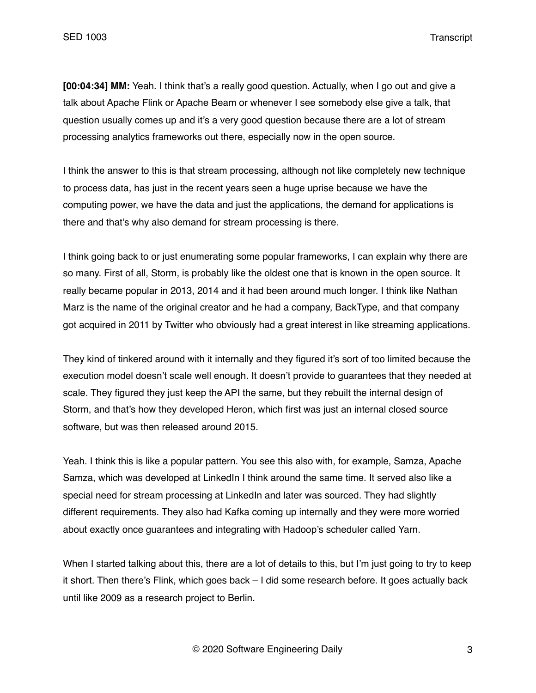**[00:04:34] MM:** Yeah. I think that's a really good question. Actually, when I go out and give a talk about Apache Flink or Apache Beam or whenever I see somebody else give a talk, that question usually comes up and it's a very good question because there are a lot of stream processing analytics frameworks out there, especially now in the open source.

I think the answer to this is that stream processing, although not like completely new technique to process data, has just in the recent years seen a huge uprise because we have the computing power, we have the data and just the applications, the demand for applications is there and that's why also demand for stream processing is there.

I think going back to or just enumerating some popular frameworks, I can explain why there are so many. First of all, Storm, is probably like the oldest one that is known in the open source. It really became popular in 2013, 2014 and it had been around much longer. I think like Nathan Marz is the name of the original creator and he had a company, BackType, and that company got acquired in 2011 by Twitter who obviously had a great interest in like streaming applications.

They kind of tinkered around with it internally and they figured it's sort of too limited because the execution model doesn't scale well enough. It doesn't provide to guarantees that they needed at scale. They figured they just keep the API the same, but they rebuilt the internal design of Storm, and that's how they developed Heron, which first was just an internal closed source software, but was then released around 2015.

Yeah. I think this is like a popular pattern. You see this also with, for example, Samza, Apache Samza, which was developed at LinkedIn I think around the same time. It served also like a special need for stream processing at LinkedIn and later was sourced. They had slightly different requirements. They also had Kafka coming up internally and they were more worried about exactly once guarantees and integrating with Hadoop's scheduler called Yarn.

When I started talking about this, there are a lot of details to this, but I'm just going to try to keep it short. Then there's Flink, which goes back – I did some research before. It goes actually back until like 2009 as a research project to Berlin.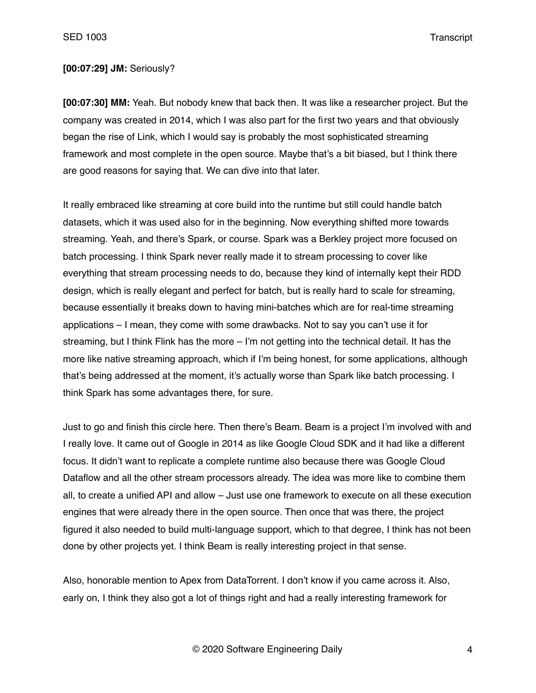## **[00:07:29] JM:** Seriously?

**[00:07:30] MM:** Yeah. But nobody knew that back then. It was like a researcher project. But the company was created in 2014, which I was also part for the first two years and that obviously began the rise of Link, which I would say is probably the most sophisticated streaming framework and most complete in the open source. Maybe that's a bit biased, but I think there are good reasons for saying that. We can dive into that later.

It really embraced like streaming at core build into the runtime but still could handle batch datasets, which it was used also for in the beginning. Now everything shifted more towards streaming. Yeah, and there's Spark, or course. Spark was a Berkley project more focused on batch processing. I think Spark never really made it to stream processing to cover like everything that stream processing needs to do, because they kind of internally kept their RDD design, which is really elegant and perfect for batch, but is really hard to scale for streaming, because essentially it breaks down to having mini-batches which are for real-time streaming applications – I mean, they come with some drawbacks. Not to say you can't use it for streaming, but I think Flink has the more – I'm not getting into the technical detail. It has the more like native streaming approach, which if I'm being honest, for some applications, although that's being addressed at the moment, it's actually worse than Spark like batch processing. I think Spark has some advantages there, for sure.

Just to go and finish this circle here. Then there's Beam. Beam is a project I'm involved with and I really love. It came out of Google in 2014 as like Google Cloud SDK and it had like a different focus. It didn't want to replicate a complete runtime also because there was Google Cloud Dataflow and all the other stream processors already. The idea was more like to combine them all, to create a unified API and allow – Just use one framework to execute on all these execution engines that were already there in the open source. Then once that was there, the project figured it also needed to build multi-language support, which to that degree, I think has not been done by other projects yet. I think Beam is really interesting project in that sense.

Also, honorable mention to Apex from DataTorrent. I don't know if you came across it. Also, early on, I think they also got a lot of things right and had a really interesting framework for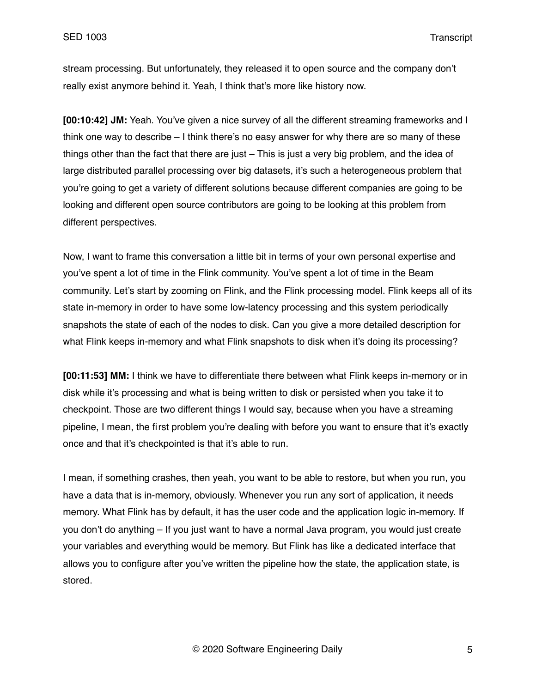stream processing. But unfortunately, they released it to open source and the company don't really exist anymore behind it. Yeah, I think that's more like history now.

**[00:10:42] JM:** Yeah. You've given a nice survey of all the different streaming frameworks and I think one way to describe – I think there's no easy answer for why there are so many of these things other than the fact that there are just – This is just a very big problem, and the idea of large distributed parallel processing over big datasets, it's such a heterogeneous problem that you're going to get a variety of different solutions because different companies are going to be looking and different open source contributors are going to be looking at this problem from different perspectives.

Now, I want to frame this conversation a little bit in terms of your own personal expertise and you've spent a lot of time in the Flink community. You've spent a lot of time in the Beam community. Let's start by zooming on Flink, and the Flink processing model. Flink keeps all of its state in-memory in order to have some low-latency processing and this system periodically snapshots the state of each of the nodes to disk. Can you give a more detailed description for what Flink keeps in-memory and what Flink snapshots to disk when it's doing its processing?

**[00:11:53] MM:** I think we have to differentiate there between what Flink keeps in-memory or in disk while it's processing and what is being written to disk or persisted when you take it to checkpoint. Those are two different things I would say, because when you have a streaming pipeline, I mean, the first problem you're dealing with before you want to ensure that it's exactly once and that it's checkpointed is that it's able to run.

I mean, if something crashes, then yeah, you want to be able to restore, but when you run, you have a data that is in-memory, obviously. Whenever you run any sort of application, it needs memory. What Flink has by default, it has the user code and the application logic in-memory. If you don't do anything – If you just want to have a normal Java program, you would just create your variables and everything would be memory. But Flink has like a dedicated interface that allows you to configure after you've written the pipeline how the state, the application state, is stored.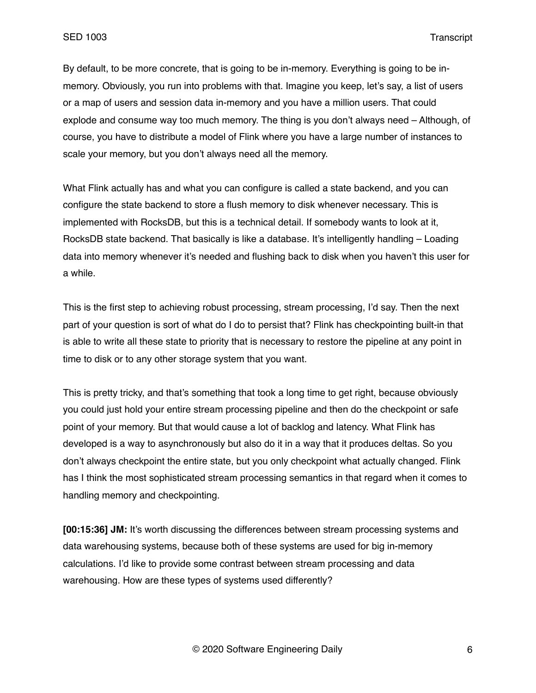By default, to be more concrete, that is going to be in-memory. Everything is going to be inmemory. Obviously, you run into problems with that. Imagine you keep, let's say, a list of users or a map of users and session data in-memory and you have a million users. That could explode and consume way too much memory. The thing is you don't always need – Although, of course, you have to distribute a model of Flink where you have a large number of instances to scale your memory, but you don't always need all the memory.

What Flink actually has and what you can configure is called a state backend, and you can configure the state backend to store a flush memory to disk whenever necessary. This is implemented with RocksDB, but this is a technical detail. If somebody wants to look at it, RocksDB state backend. That basically is like a database. It's intelligently handling – Loading data into memory whenever it's needed and flushing back to disk when you haven't this user for a while.

This is the first step to achieving robust processing, stream processing, I'd say. Then the next part of your question is sort of what do I do to persist that? Flink has checkpointing built-in that is able to write all these state to priority that is necessary to restore the pipeline at any point in time to disk or to any other storage system that you want.

This is pretty tricky, and that's something that took a long time to get right, because obviously you could just hold your entire stream processing pipeline and then do the checkpoint or safe point of your memory. But that would cause a lot of backlog and latency. What Flink has developed is a way to asynchronously but also do it in a way that it produces deltas. So you don't always checkpoint the entire state, but you only checkpoint what actually changed. Flink has I think the most sophisticated stream processing semantics in that regard when it comes to handling memory and checkpointing.

**[00:15:36] JM:** It's worth discussing the differences between stream processing systems and data warehousing systems, because both of these systems are used for big in-memory calculations. I'd like to provide some contrast between stream processing and data warehousing. How are these types of systems used differently?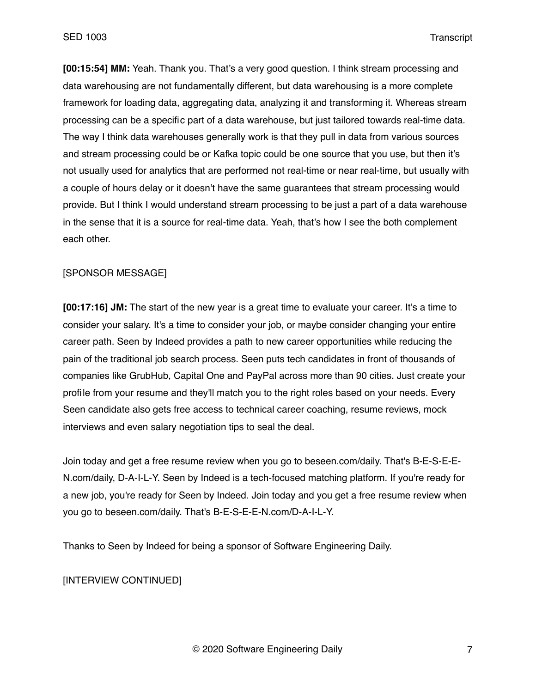**[00:15:54] MM:** Yeah. Thank you. That's a very good question. I think stream processing and data warehousing are not fundamentally different, but data warehousing is a more complete framework for loading data, aggregating data, analyzing it and transforming it. Whereas stream processing can be a specific part of a data warehouse, but just tailored towards real-time data. The way I think data warehouses generally work is that they pull in data from various sources and stream processing could be or Kafka topic could be one source that you use, but then it's not usually used for analytics that are performed not real-time or near real-time, but usually with a couple of hours delay or it doesn't have the same guarantees that stream processing would provide. But I think I would understand stream processing to be just a part of a data warehouse in the sense that it is a source for real-time data. Yeah, that's how I see the both complement each other.

#### [SPONSOR MESSAGE]

**[00:17:16] JM:** The start of the new year is a great time to evaluate your career. It's a time to consider your salary. It's a time to consider your job, or maybe consider changing your entire career path. Seen by Indeed provides a path to new career opportunities while reducing the pain of the traditional job search process. Seen puts tech candidates in front of thousands of companies like GrubHub, Capital One and PayPal across more than 90 cities. Just create your profile from your resume and they'll match you to the right roles based on your needs. Every Seen candidate also gets free access to technical career coaching, resume reviews, mock interviews and even salary negotiation tips to seal the deal.

Join today and get a free resume review when you go to beseen.com/daily. That's B-E-S-E-E-N.com/daily, D-A-I-L-Y. Seen by Indeed is a tech-focused matching platform. If you're ready for a new job, you're ready for Seen by Indeed. Join today and you get a free resume review when you go to beseen.com/daily. That's B-E-S-E-E-N.com/D-A-I-L-Y.

Thanks to Seen by Indeed for being a sponsor of Software Engineering Daily.

[INTERVIEW CONTINUED]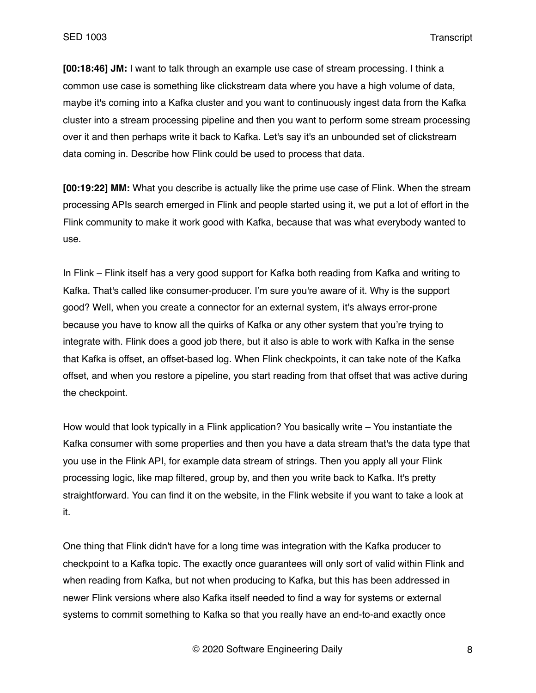**[00:18:46] JM:** I want to talk through an example use case of stream processing. I think a common use case is something like clickstream data where you have a high volume of data, maybe it's coming into a Kafka cluster and you want to continuously ingest data from the Kafka cluster into a stream processing pipeline and then you want to perform some stream processing over it and then perhaps write it back to Kafka. Let's say it's an unbounded set of clickstream data coming in. Describe how Flink could be used to process that data.

**[00:19:22] MM:** What you describe is actually like the prime use case of Flink. When the stream processing APIs search emerged in Flink and people started using it, we put a lot of effort in the Flink community to make it work good with Kafka, because that was what everybody wanted to use.

In Flink – Flink itself has a very good support for Kafka both reading from Kafka and writing to Kafka. That's called like consumer-producer. I'm sure you're aware of it. Why is the support good? Well, when you create a connector for an external system, it's always error-prone because you have to know all the quirks of Kafka or any other system that you're trying to integrate with. Flink does a good job there, but it also is able to work with Kafka in the sense that Kafka is offset, an offset-based log. When Flink checkpoints, it can take note of the Kafka offset, and when you restore a pipeline, you start reading from that offset that was active during the checkpoint.

How would that look typically in a Flink application? You basically write – You instantiate the Kafka consumer with some properties and then you have a data stream that's the data type that you use in the Flink API, for example data stream of strings. Then you apply all your Flink processing logic, like map filtered, group by, and then you write back to Kafka. It's pretty straightforward. You can find it on the website, in the Flink website if you want to take a look at it.

One thing that Flink didn't have for a long time was integration with the Kafka producer to checkpoint to a Kafka topic. The exactly once guarantees will only sort of valid within Flink and when reading from Kafka, but not when producing to Kafka, but this has been addressed in newer Flink versions where also Kafka itself needed to find a way for systems or external systems to commit something to Kafka so that you really have an end-to-and exactly once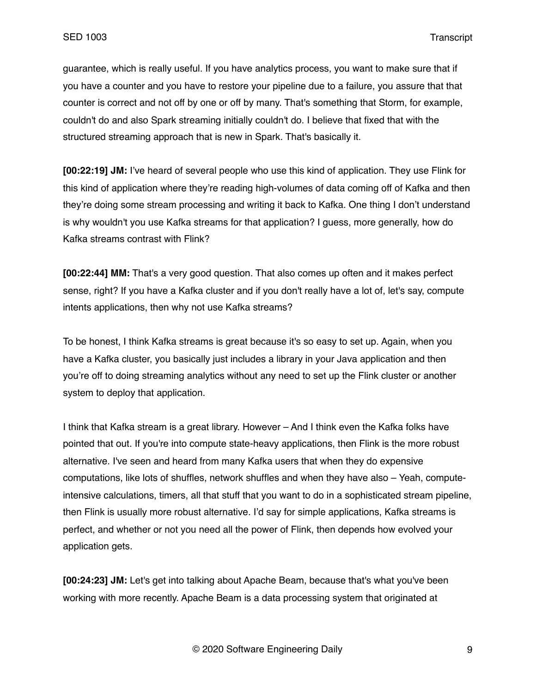guarantee, which is really useful. If you have analytics process, you want to make sure that if you have a counter and you have to restore your pipeline due to a failure, you assure that that counter is correct and not off by one or off by many. That's something that Storm, for example, couldn't do and also Spark streaming initially couldn't do. I believe that fixed that with the structured streaming approach that is new in Spark. That's basically it.

**[00:22:19] JM:** I've heard of several people who use this kind of application. They use Flink for this kind of application where they're reading high-volumes of data coming off of Kafka and then they're doing some stream processing and writing it back to Kafka. One thing I don't understand is why wouldn't you use Kafka streams for that application? I guess, more generally, how do Kafka streams contrast with Flink?

**[00:22:44] MM:** That's a very good question. That also comes up often and it makes perfect sense, right? If you have a Kafka cluster and if you don't really have a lot of, let's say, compute intents applications, then why not use Kafka streams?

To be honest, I think Kafka streams is great because it's so easy to set up. Again, when you have a Kafka cluster, you basically just includes a library in your Java application and then you're off to doing streaming analytics without any need to set up the Flink cluster or another system to deploy that application.

I think that Kafka stream is a great library. However – And I think even the Kafka folks have pointed that out. If you're into compute state-heavy applications, then Flink is the more robust alternative. I've seen and heard from many Kafka users that when they do expensive computations, like lots of shuffles, network shuffles and when they have also – Yeah, computeintensive calculations, timers, all that stuff that you want to do in a sophisticated stream pipeline, then Flink is usually more robust alternative. I'd say for simple applications, Kafka streams is perfect, and whether or not you need all the power of Flink, then depends how evolved your application gets.

**[00:24:23] JM:** Let's get into talking about Apache Beam, because that's what you've been working with more recently. Apache Beam is a data processing system that originated at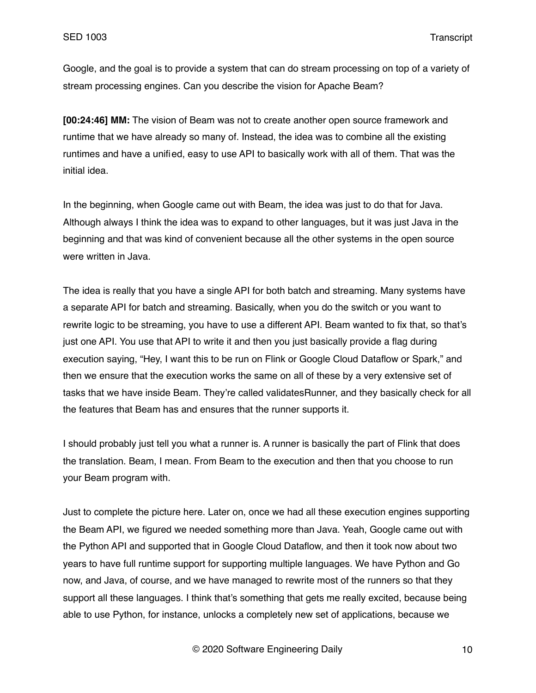Google, and the goal is to provide a system that can do stream processing on top of a variety of stream processing engines. Can you describe the vision for Apache Beam?

**[00:24:46] MM:** The vision of Beam was not to create another open source framework and runtime that we have already so many of. Instead, the idea was to combine all the existing runtimes and have a unified, easy to use API to basically work with all of them. That was the initial idea.

In the beginning, when Google came out with Beam, the idea was just to do that for Java. Although always I think the idea was to expand to other languages, but it was just Java in the beginning and that was kind of convenient because all the other systems in the open source were written in Java.

The idea is really that you have a single API for both batch and streaming. Many systems have a separate API for batch and streaming. Basically, when you do the switch or you want to rewrite logic to be streaming, you have to use a different API. Beam wanted to fix that, so that's just one API. You use that API to write it and then you just basically provide a flag during execution saying, "Hey, I want this to be run on Flink or Google Cloud Dataflow or Spark," and then we ensure that the execution works the same on all of these by a very extensive set of tasks that we have inside Beam. They're called validatesRunner, and they basically check for all the features that Beam has and ensures that the runner supports it.

I should probably just tell you what a runner is. A runner is basically the part of Flink that does the translation. Beam, I mean. From Beam to the execution and then that you choose to run your Beam program with.

Just to complete the picture here. Later on, once we had all these execution engines supporting the Beam API, we figured we needed something more than Java. Yeah, Google came out with the Python API and supported that in Google Cloud Dataflow, and then it took now about two years to have full runtime support for supporting multiple languages. We have Python and Go now, and Java, of course, and we have managed to rewrite most of the runners so that they support all these languages. I think that's something that gets me really excited, because being able to use Python, for instance, unlocks a completely new set of applications, because we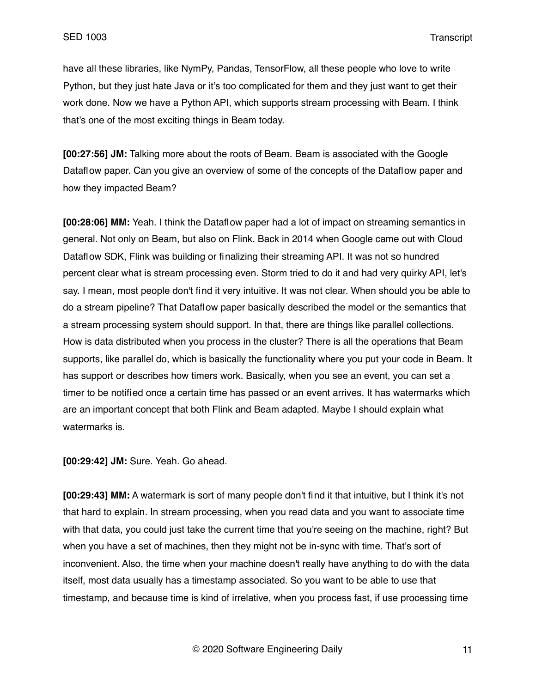have all these libraries, like NymPy, Pandas, TensorFlow, all these people who love to write Python, but they just hate Java or it's too complicated for them and they just want to get their work done. Now we have a Python API, which supports stream processing with Beam. I think that's one of the most exciting things in Beam today.

**[00:27:56] JM:** Talking more about the roots of Beam. Beam is associated with the Google Dataflow paper. Can you give an overview of some of the concepts of the Dataflow paper and how they impacted Beam?

**[00:28:06] MM:** Yeah. I think the Dataflow paper had a lot of impact on streaming semantics in general. Not only on Beam, but also on Flink. Back in 2014 when Google came out with Cloud Dataflow SDK, Flink was building or finalizing their streaming API. It was not so hundred percent clear what is stream processing even. Storm tried to do it and had very quirky API, let's say. I mean, most people don't find it very intuitive. It was not clear. When should you be able to do a stream pipeline? That Dataflow paper basically described the model or the semantics that a stream processing system should support. In that, there are things like parallel collections. How is data distributed when you process in the cluster? There is all the operations that Beam supports, like parallel do, which is basically the functionality where you put your code in Beam. It has support or describes how timers work. Basically, when you see an event, you can set a timer to be notified once a certain time has passed or an event arrives. It has watermarks which are an important concept that both Flink and Beam adapted. Maybe I should explain what watermarks is.

**[00:29:42] JM:** Sure. Yeah. Go ahead.

**[00:29:43] MM:** A watermark is sort of many people don't find it that intuitive, but I think it's not that hard to explain. In stream processing, when you read data and you want to associate time with that data, you could just take the current time that you're seeing on the machine, right? But when you have a set of machines, then they might not be in-sync with time. That's sort of inconvenient. Also, the time when your machine doesn't really have anything to do with the data itself, most data usually has a timestamp associated. So you want to be able to use that timestamp, and because time is kind of irrelative, when you process fast, if use processing time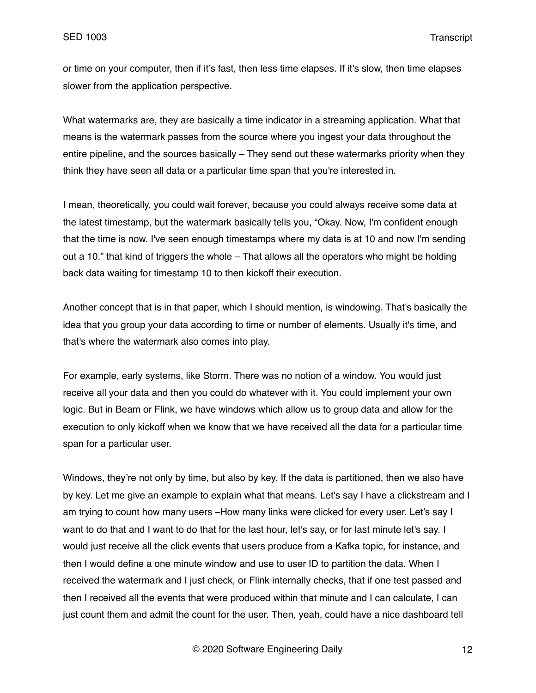or time on your computer, then if it's fast, then less time elapses. If it's slow, then time elapses slower from the application perspective.

What watermarks are, they are basically a time indicator in a streaming application. What that means is the watermark passes from the source where you ingest your data throughout the entire pipeline, and the sources basically – They send out these watermarks priority when they think they have seen all data or a particular time span that you're interested in.

I mean, theoretically, you could wait forever, because you could always receive some data at the latest timestamp, but the watermark basically tells you, "Okay. Now, I'm confident enough that the time is now. I've seen enough timestamps where my data is at 10 and now I'm sending out a 10." that kind of triggers the whole – That allows all the operators who might be holding back data waiting for timestamp 10 to then kickoff their execution.

Another concept that is in that paper, which I should mention, is windowing. That's basically the idea that you group your data according to time or number of elements. Usually it's time, and that's where the watermark also comes into play.

For example, early systems, like Storm. There was no notion of a window. You would just receive all your data and then you could do whatever with it. You could implement your own logic. But in Beam or Flink, we have windows which allow us to group data and allow for the execution to only kickoff when we know that we have received all the data for a particular time span for a particular user.

Windows, they're not only by time, but also by key. If the data is partitioned, then we also have by key. Let me give an example to explain what that means. Let's say I have a clickstream and I am trying to count how many users –How many links were clicked for every user. Let's say I want to do that and I want to do that for the last hour, let's say, or for last minute let's say. I would just receive all the click events that users produce from a Kafka topic, for instance, and then I would define a one minute window and use to user ID to partition the data. When I received the watermark and I just check, or Flink internally checks, that if one test passed and then I received all the events that were produced within that minute and I can calculate, I can just count them and admit the count for the user. Then, yeah, could have a nice dashboard tell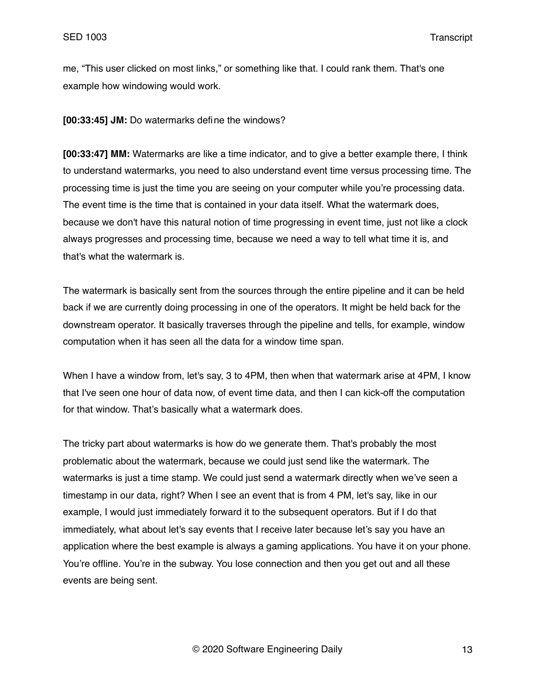me, "This user clicked on most links," or something like that. I could rank them. That's one example how windowing would work.

**[00:33:45] JM:** Do watermarks define the windows?

**[00:33:47] MM:** Watermarks are like a time indicator, and to give a better example there, I think to understand watermarks, you need to also understand event time versus processing time. The processing time is just the time you are seeing on your computer while you're processing data. The event time is the time that is contained in your data itself. What the watermark does, because we don't have this natural notion of time progressing in event time, just not like a clock always progresses and processing time, because we need a way to tell what time it is, and that's what the watermark is.

The watermark is basically sent from the sources through the entire pipeline and it can be held back if we are currently doing processing in one of the operators. It might be held back for the downstream operator. It basically traverses through the pipeline and tells, for example, window computation when it has seen all the data for a window time span.

When I have a window from, let's say, 3 to 4PM, then when that watermark arise at 4PM, I know that I've seen one hour of data now, of event time data, and then I can kick-off the computation for that window. That's basically what a watermark does.

The tricky part about watermarks is how do we generate them. That's probably the most problematic about the watermark, because we could just send like the watermark. The watermarks is just a time stamp. We could just send a watermark directly when we've seen a timestamp in our data, right? When I see an event that is from 4 PM, let's say, like in our example, I would just immediately forward it to the subsequent operators. But if I do that immediately, what about let's say events that I receive later because let's say you have an application where the best example is always a gaming applications. You have it on your phone. You're offline. You're in the subway. You lose connection and then you get out and all these events are being sent.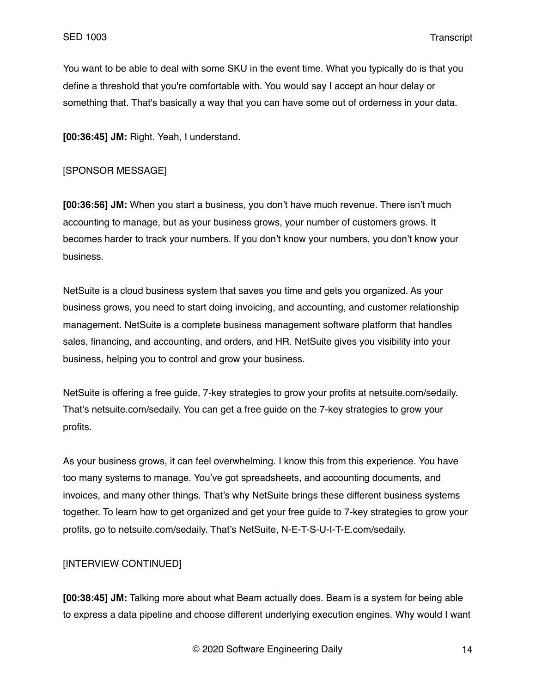You want to be able to deal with some SKU in the event time. What you typically do is that you define a threshold that you're comfortable with. You would say I accept an hour delay or something that. That's basically a way that you can have some out of orderness in your data.

**[00:36:45] JM:** Right. Yeah, I understand.

### [SPONSOR MESSAGE]

**[00:36:56] JM:** When you start a business, you don't have much revenue. There isn't much accounting to manage, but as your business grows, your number of customers grows. It becomes harder to track your numbers. If you don't know your numbers, you don't know your business.

NetSuite is a cloud business system that saves you time and gets you organized. As your business grows, you need to start doing invoicing, and accounting, and customer relationship management. NetSuite is a complete business management software platform that handles sales, financing, and accounting, and orders, and HR. NetSuite gives you visibility into your business, helping you to control and grow your business.

NetSuite is offering a free guide, 7-key strategies to grow your profits at netsuite.com/sedaily. That's netsuite.com/sedaily. You can get a free guide on the 7-key strategies to grow your profits.

As your business grows, it can feel overwhelming. I know this from this experience. You have too many systems to manage. You've got spreadsheets, and accounting documents, and invoices, and many other things. That's why NetSuite brings these different business systems together. To learn how to get organized and get your free guide to 7-key strategies to grow your profits, go to netsuite.com/sedaily. That's NetSuite, N-E-T-S-U-I-T-E.com/sedaily.

# [INTERVIEW CONTINUED]

**[00:38:45] JM:** Talking more about what Beam actually does. Beam is a system for being able to express a data pipeline and choose different underlying execution engines. Why would I want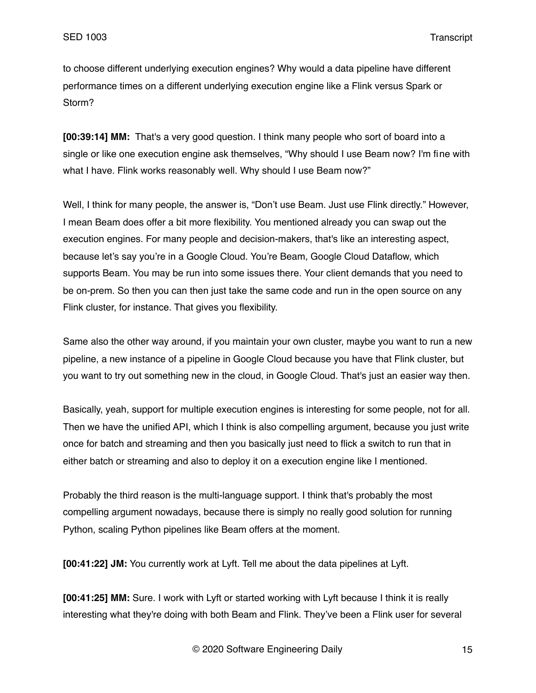to choose different underlying execution engines? Why would a data pipeline have different performance times on a different underlying execution engine like a Flink versus Spark or Storm?

**[00:39:14] MM:** That's a very good question. I think many people who sort of board into a single or like one execution engine ask themselves, "Why should I use Beam now? I'm fine with what I have. Flink works reasonably well. Why should I use Beam now?"

Well, I think for many people, the answer is, "Don't use Beam. Just use Flink directly." However, I mean Beam does offer a bit more flexibility. You mentioned already you can swap out the execution engines. For many people and decision-makers, that's like an interesting aspect, because let's say you're in a Google Cloud. You're Beam, Google Cloud Dataflow, which supports Beam. You may be run into some issues there. Your client demands that you need to be on-prem. So then you can then just take the same code and run in the open source on any Flink cluster, for instance. That gives you flexibility.

Same also the other way around, if you maintain your own cluster, maybe you want to run a new pipeline, a new instance of a pipeline in Google Cloud because you have that Flink cluster, but you want to try out something new in the cloud, in Google Cloud. That's just an easier way then.

Basically, yeah, support for multiple execution engines is interesting for some people, not for all. Then we have the unified API, which I think is also compelling argument, because you just write once for batch and streaming and then you basically just need to flick a switch to run that in either batch or streaming and also to deploy it on a execution engine like I mentioned.

Probably the third reason is the multi-language support. I think that's probably the most compelling argument nowadays, because there is simply no really good solution for running Python, scaling Python pipelines like Beam offers at the moment.

**[00:41:22] JM:** You currently work at Lyft. Tell me about the data pipelines at Lyft.

**[00:41:25] MM:** Sure. I work with Lyft or started working with Lyft because I think it is really interesting what they're doing with both Beam and Flink. They've been a Flink user for several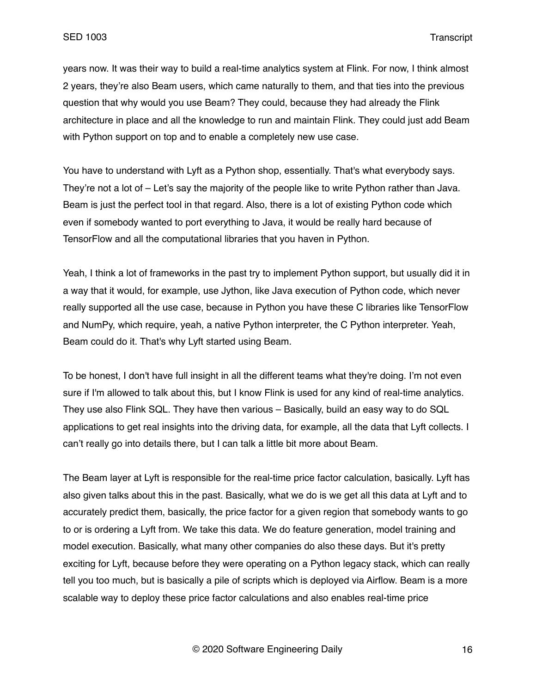years now. It was their way to build a real-time analytics system at Flink. For now, I think almost 2 years, they're also Beam users, which came naturally to them, and that ties into the previous question that why would you use Beam? They could, because they had already the Flink architecture in place and all the knowledge to run and maintain Flink. They could just add Beam with Python support on top and to enable a completely new use case.

You have to understand with Lyft as a Python shop, essentially. That's what everybody says. They're not a lot of – Let's say the majority of the people like to write Python rather than Java. Beam is just the perfect tool in that regard. Also, there is a lot of existing Python code which even if somebody wanted to port everything to Java, it would be really hard because of TensorFlow and all the computational libraries that you haven in Python.

Yeah, I think a lot of frameworks in the past try to implement Python support, but usually did it in a way that it would, for example, use Jython, like Java execution of Python code, which never really supported all the use case, because in Python you have these C libraries like TensorFlow and NumPy, which require, yeah, a native Python interpreter, the C Python interpreter. Yeah, Beam could do it. That's why Lyft started using Beam.

To be honest, I don't have full insight in all the different teams what they're doing. I'm not even sure if I'm allowed to talk about this, but I know Flink is used for any kind of real-time analytics. They use also Flink SQL. They have then various – Basically, build an easy way to do SQL applications to get real insights into the driving data, for example, all the data that Lyft collects. I can't really go into details there, but I can talk a little bit more about Beam.

The Beam layer at Lyft is responsible for the real-time price factor calculation, basically. Lyft has also given talks about this in the past. Basically, what we do is we get all this data at Lyft and to accurately predict them, basically, the price factor for a given region that somebody wants to go to or is ordering a Lyft from. We take this data. We do feature generation, model training and model execution. Basically, what many other companies do also these days. But it's pretty exciting for Lyft, because before they were operating on a Python legacy stack, which can really tell you too much, but is basically a pile of scripts which is deployed via Airflow. Beam is a more scalable way to deploy these price factor calculations and also enables real-time price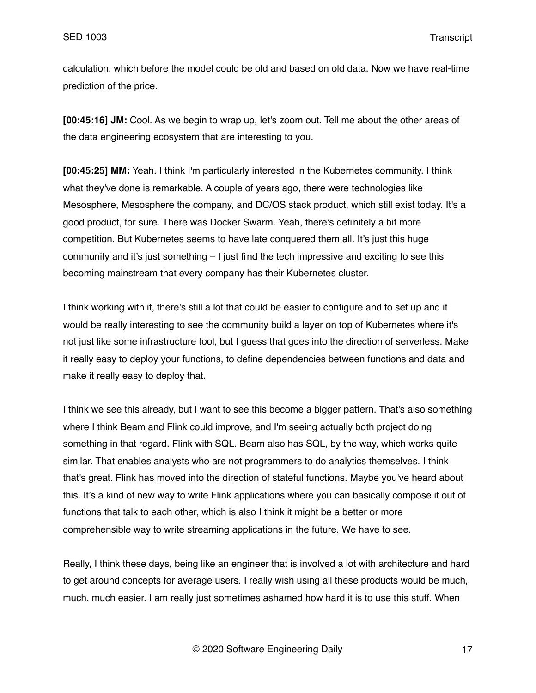calculation, which before the model could be old and based on old data. Now we have real-time prediction of the price.

**[00:45:16] JM:** Cool. As we begin to wrap up, let's zoom out. Tell me about the other areas of the data engineering ecosystem that are interesting to you.

**[00:45:25] MM:** Yeah. I think I'm particularly interested in the Kubernetes community. I think what they've done is remarkable. A couple of years ago, there were technologies like Mesosphere, Mesosphere the company, and DC/OS stack product, which still exist today. It's a good product, for sure. There was Docker Swarm. Yeah, there's definitely a bit more competition. But Kubernetes seems to have late conquered them all. It's just this huge community and it's just something – I just find the tech impressive and exciting to see this becoming mainstream that every company has their Kubernetes cluster.

I think working with it, there's still a lot that could be easier to configure and to set up and it would be really interesting to see the community build a layer on top of Kubernetes where it's not just like some infrastructure tool, but I guess that goes into the direction of serverless. Make it really easy to deploy your functions, to define dependencies between functions and data and make it really easy to deploy that.

I think we see this already, but I want to see this become a bigger pattern. That's also something where I think Beam and Flink could improve, and I'm seeing actually both project doing something in that regard. Flink with SQL. Beam also has SQL, by the way, which works quite similar. That enables analysts who are not programmers to do analytics themselves. I think that's great. Flink has moved into the direction of stateful functions. Maybe you've heard about this. It's a kind of new way to write Flink applications where you can basically compose it out of functions that talk to each other, which is also I think it might be a better or more comprehensible way to write streaming applications in the future. We have to see.

Really, I think these days, being like an engineer that is involved a lot with architecture and hard to get around concepts for average users. I really wish using all these products would be much, much, much easier. I am really just sometimes ashamed how hard it is to use this stuff. When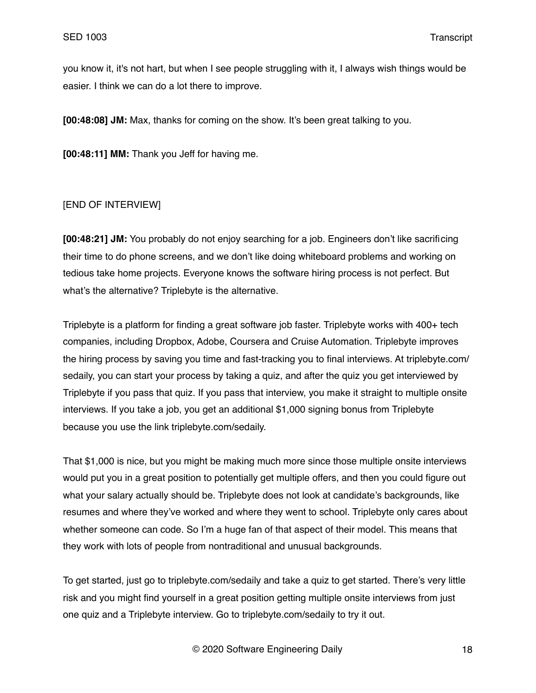you know it, it's not hart, but when I see people struggling with it, I always wish things would be easier. I think we can do a lot there to improve.

**[00:48:08] JM:** Max, thanks for coming on the show. It's been great talking to you.

**[00:48:11] MM:** Thank you Jeff for having me.

## [END OF INTERVIEW]

**[00:48:21] JM:** You probably do not enjoy searching for a job. Engineers don't like sacrificing their time to do phone screens, and we don't like doing whiteboard problems and working on tedious take home projects. Everyone knows the software hiring process is not perfect. But what's the alternative? Triplebyte is the alternative.

Triplebyte is a platform for finding a great software job faster. Triplebyte works with 400+ tech companies, including Dropbox, Adobe, Coursera and Cruise Automation. Triplebyte improves the hiring process by saving you time and fast-tracking you to final interviews. At triplebyte.com/ sedaily, you can start your process by taking a quiz, and after the quiz you get interviewed by Triplebyte if you pass that quiz. If you pass that interview, you make it straight to multiple onsite interviews. If you take a job, you get an additional \$1,000 signing bonus from Triplebyte because you use the link triplebyte.com/sedaily.

That \$1,000 is nice, but you might be making much more since those multiple onsite interviews would put you in a great position to potentially get multiple offers, and then you could figure out what your salary actually should be. Triplebyte does not look at candidate's backgrounds, like resumes and where they've worked and where they went to school. Triplebyte only cares about whether someone can code. So I'm a huge fan of that aspect of their model. This means that they work with lots of people from nontraditional and unusual backgrounds.

To get started, just go to triplebyte.com/sedaily and take a quiz to get started. There's very little risk and you might find yourself in a great position getting multiple onsite interviews from just one quiz and a Triplebyte interview. Go to triplebyte.com/sedaily to try it out.